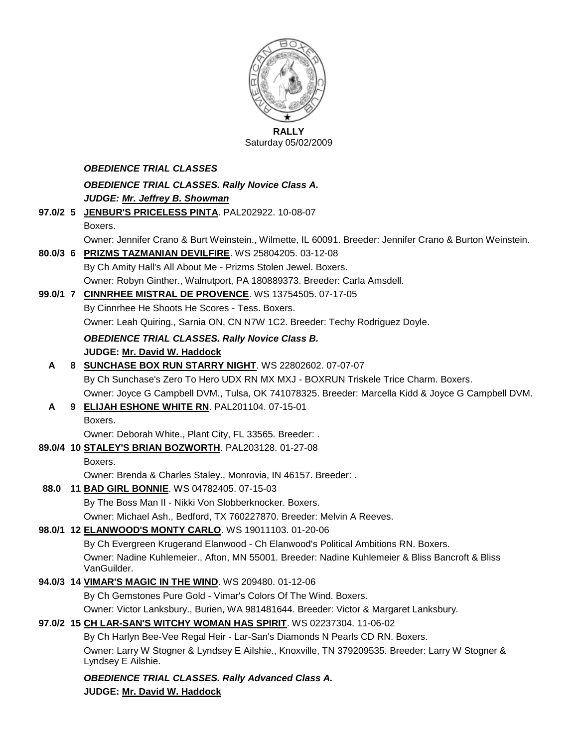

**RALLY** Saturday 05/02/2009

### *OBEDIENCE TRIAL CLASSES*

*OBEDIENCE TRIAL CLASSES. Rally Novice Class A. JUDGE: Mr. Jeffrey B. Showman*

- **97.0/2 5 [JENBUR'S PRICELESS PINTA](http://canis.infodog.com/files/bdogrsl1.prg;makc=PAL202922;mdog=JenBur_s_Priceless_Pinta;wins=all)**. PAL202922. 10-08-07 Boxers. Owner: Jennifer Crano & Burt Weinstein., Wilmette, IL 60091. Breeder: Jennifer Crano & Burton Weinstein.
- **80.0/3 6 [PRIZMS TAZMANIAN DEVILFIRE](http://canis.infodog.com/files/bdogrsl1.prg;makc=WS_25804205;mdog=Prizms_Tazmanian_DevilFire;wins=all)**. WS 25804205. 03-12-08
	- By Ch Amity Hall's All About Me Prizms Stolen Jewel. Boxers. Owner: Robyn Ginther., Walnutport, PA 180889373. Breeder: Carla Amsdell.

### **99.0/1 7 [CINNRHEE MISTRAL DE PROVENCE](http://canis.infodog.com/files/bdogrsl1.prg;makc=WS_13754505;mdog=Cinnrhee_Mistral_De_Provence;wins=all)**. WS 13754505. 07-17-05

By Cinnrhee He Shoots He Scores - Tess. Boxers. Owner: Leah Quiring., Sarnia ON, CN N7W 1C2. Breeder: Techy Rodriguez Doyle.

*OBEDIENCE TRIAL CLASSES. Rally Novice Class B.*

### **JUDGE: [Mr. David W. Haddock](http://www.infodog.com/judges/18846/juddat.htm)**

- **A 8 [SUNCHASE BOX RUN STARRY NIGHT](http://canis.infodog.com/files/bdogrsl1.prg;makc=WS_22802602;mdog=Sunchase_Box_Run_Starry_Night;wins=all)**. WS 22802602. 07-07-07 By Ch Sunchase's Zero To Hero UDX RN MX MXJ - BOXRUN Triskele Trice Charm. Boxers. Owner: Joyce G Campbell DVM., Tulsa, OK 741078325. Breeder: Marcella Kidd & Joyce G Campbell DVM.
- **A 9 [ELIJAH ESHONE WHITE RN](http://canis.infodog.com/files/bdogrsl1.prg;makc=PAL201104;mdog=Elijah_Eshone_White_RN;wins=all)**. PAL201104. 07-15-01

Boxers.

Owner: Deborah White., Plant City, FL 33565. Breeder: .

**89.0/4 10 [STALEY'S BRIAN BOZWORTH](http://canis.infodog.com/files/bdogrsl1.prg;makc=PAL203128;mdog=Staley_s_Brian_Bozworth;wins=all)**. PAL203128. 01-27-08

Boxers.

Owner: Brenda & Charles Staley., Monrovia, IN 46157. Breeder: .

### **88.0 11 [BAD GIRL BONNIE](http://canis.infodog.com/files/bdogrsl1.prg;makc=WS_04782405;mdog=Bad_Girl_Bonnie;wins=all)**. WS 04782405. 07-15-03

By The Boss Man II - Nikki Von Slobberknocker. Boxers.

Owner: Michael Ash., Bedford, TX 760227870. Breeder: Melvin A Reeves.

### **98.0/1 12 [ELANWOOD'S MONTY CARLO](http://canis.infodog.com/files/bdogrsl1.prg;makc=WS_19011103;mdog=Elanwood_s_Monty_Carlo;wins=all)**. WS 19011103. 01-20-06

By Ch Evergreen Krugerand Elanwood - Ch Elanwood's Political Ambitions RN. Boxers. Owner: Nadine Kuhlemeier., Afton, MN 55001. Breeder: Nadine Kuhlemeier & Bliss Bancroft & Bliss VanGuilder.

### **94.0/3 14 [VIMAR'S MAGIC IN THE WIND](http://canis.infodog.com/files/bdogrsl1.prg;makc=WS_209480;mdog=Vimar_s_Magic_In_The_Wind;wins=all)**. WS 209480. 01-12-06

By Ch Gemstones Pure Gold - Vimar's Colors Of The Wind. Boxers.

Owner: Victor Lanksbury., Burien, WA 981481644. Breeder: Victor & Margaret Lanksbury.

### **97.0/2 15 [CH LAR-SAN'S WITCHY WOMAN HAS SPIRIT](http://canis.infodog.com/files/bdogrsl1.prg;makc=WS_02237304;mdog=Ch_Lar-San_s_Witchy_Woman_Has_Spirit;wins=all)**. WS 02237304. 11-06-02

By Ch Harlyn Bee-Vee Regal Heir - Lar-San's Diamonds N Pearls CD RN. Boxers. Owner: Larry W Stogner & Lyndsey E Ailshie., Knoxville, TN 379209535. Breeder: Larry W Stogner & Lyndsey E Ailshie.

#### *OBEDIENCE TRIAL CLASSES. Rally Advanced Class A.* **JUDGE: [Mr. David W. Haddock](http://www.infodog.com/judges/18846/juddat.htm)**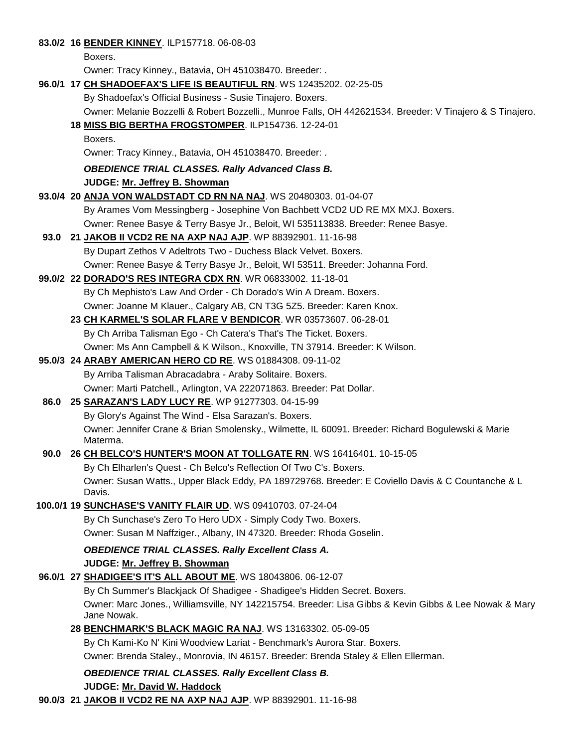#### **83.0/2 16 [BENDER KINNEY](http://canis.infodog.com/files/bdogrsl1.prg;makc=ILP157718;mdog=Bender_Kinney;wins=all)**. ILP157718. 06-08-03

Boxers.

Owner: Tracy Kinney., Batavia, OH 451038470. Breeder: .

#### **96.0/1 17 [CH SHADOEFAX'S LIFE IS BEAUTIFUL RN](http://canis.infodog.com/files/bdogrsl1.prg;makc=WS_12435202;mdog=Ch_Shadoefax_s_Life_Is_Beautiful_RN;wins=all)**. WS 12435202. 02-25-05

By Shadoefax's Official Business - Susie Tinajero. Boxers.

Owner: Melanie Bozzelli & Robert Bozzelli., Munroe Falls, OH 442621534. Breeder: V Tinajero & S Tinajero.

- **18 [MISS BIG BERTHA FROGSTOMPER](http://canis.infodog.com/files/bdogrsl1.prg;makc=ILP154736;mdog=Miss_Big_Bertha_Frogstomper;wins=all)**. ILP154736. 12-24-01
	- Boxers.

Owner: Tracy Kinney., Batavia, OH 451038470. Breeder: .

*OBEDIENCE TRIAL CLASSES. Rally Advanced Class B.*

**JUDGE: [Mr. Jeffrey B. Showman](http://www.infodog.com/judges/7573/juddat.htm)** 

- **93.0/4 20 [ANJA VON WALDSTADT CD RN NA NAJ](http://canis.infodog.com/files/bdogrsl1.prg;makc=WS_20480303;mdog=Anja_Von_Waldstadt_CD_RN_NA_NAJ;wins=all)**. WS 20480303. 01-04-07 By Arames Vom Messingberg - Josephine Von Bachbett VCD2 UD RE MX MXJ. Boxers. Owner: Renee Basye & Terry Basye Jr., Beloit, WI 535113838. Breeder: Renee Basye.
- **93.0 21 [JAKOB II VCD2 RE NA AXP NAJ AJP](http://canis.infodog.com/files/bdogrsl1.prg;makc=WP_88392901;mdog=Jakob_II_VCD2_RE_NA_AXP_NAJ_AJP;wins=all)**. WP 88392901. 11-16-98 By Dupart Zethos V Adeltrots Two - Duchess Black Velvet. Boxers.

Owner: Renee Basye & Terry Basye Jr., Beloit, WI 53511. Breeder: Johanna Ford.

#### **99.0/2 22 [DORADO'S RES INTEGRA CDX RN](http://canis.infodog.com/files/bdogrsl1.prg;makc=WR_06833002;mdog=Dorado_s_Res_Integra_CDX_RN;wins=all)**. WR 06833002. 11-18-01

By Ch Mephisto's Law And Order - Ch Dorado's Win A Dream. Boxers. Owner: Joanne M Klauer., Calgary AB, CN T3G 5Z5. Breeder: Karen Knox.

**23 [CH KARMEL'S SOLAR FLARE V BENDICOR](http://canis.infodog.com/files/bdogrsl1.prg;makc=WR_03573607;mdog=Ch_Karmel_s_Solar_Flare_V_Bendicor;wins=all)**. WR 03573607. 06-28-01

By Ch Arriba Talisman Ego - Ch Catera's That's The Ticket. Boxers.

Owner: Ms Ann Campbell & K Wilson., Knoxville, TN 37914. Breeder: K Wilson.

#### **95.0/3 24 [ARABY AMERICAN HERO CD RE](http://canis.infodog.com/files/bdogrsl1.prg;makc=WS_01884308;mdog=Araby_American_Hero_CD_RE;wins=all)**. WS 01884308. 09-11-02 By Arriba Talisman Abracadabra - Araby Solitaire. Boxers.

Owner: Marti Patchell., Arlington, VA 222071863. Breeder: Pat Dollar.

### **86.0 25 [SARAZAN'S LADY LUCY RE](http://canis.infodog.com/files/bdogrsl1.prg;makc=WP_91277303;mdog=Sarazan_s_Lady_Lucy_RE;wins=all)**. WP 91277303. 04-15-99

By Glory's Against The Wind - Elsa Sarazan's. Boxers.

Owner: Jennifer Crane & Brian Smolensky., Wilmette, IL 60091. Breeder: Richard Bogulewski & Marie Materma.

### **90.0 26 [CH BELCO'S HUNTER'S MOON AT TOLLGATE RN](http://canis.infodog.com/files/bdogrsl1.prg;makc=WS_16416401;mdog=Ch_Belco_s_Hunter_s_Moon_At_Tollgate_RN;wins=all)**. WS 16416401. 10-15-05

By Ch Elharlen's Quest - Ch Belco's Reflection Of Two C's. Boxers. Owner: Susan Watts., Upper Black Eddy, PA 189729768. Breeder: E Coviello Davis & C Countanche & L Davis.

### **100.0/1 19 [SUNCHASE'S VANITY FLAIR UD](http://canis.infodog.com/files/bdogrsl1.prg;makc=WS_09410703;mdog=Sunchase_s_Vanity_Flair_UD;wins=all)**. WS 09410703. 07-24-04

By Ch Sunchase's Zero To Hero UDX - Simply Cody Two. Boxers. Owner: Susan M Naffziger., Albany, IN 47320. Breeder: Rhoda Goselin.

#### *OBEDIENCE TRIAL CLASSES. Rally Excellent Class A.* **JUDGE: [Mr. Jeffrey B. Showman](http://www.infodog.com/judges/7573/juddat.htm)**

**96.0/1 27 [SHADIGEE'S IT'S ALL ABOUT ME](http://canis.infodog.com/files/bdogrsl1.prg;makc=WS_18043806;mdog=Shadigee_s_It_s_All_About_Me;wins=all)**. WS 18043806. 06-12-07 By Ch Summer's Blackjack Of Shadigee - Shadigee's Hidden Secret. Boxers.

Owner: Marc Jones., Williamsville, NY 142215754. Breeder: Lisa Gibbs & Kevin Gibbs & Lee Nowak & Mary Jane Nowak.

### **28 [BENCHMARK'S BLACK MAGIC RA NAJ](http://canis.infodog.com/files/bdogrsl1.prg;makc=WS_13163302;mdog=Benchmark_s_Black_Magic_RA_NAJ;wins=all)**. WS 13163302. 05-09-05

By Ch Kami-Ko N' Kini Woodview Lariat - Benchmark's Aurora Star. Boxers.

Owner: Brenda Staley., Monrovia, IN 46157. Breeder: Brenda Staley & Ellen Ellerman.

### *OBEDIENCE TRIAL CLASSES. Rally Excellent Class B.*

### **JUDGE: [Mr. David W. Haddock](http://www.infodog.com/judges/18846/juddat.htm)**

**90.0/3 21 [JAKOB II VCD2 RE NA AXP NAJ AJP](http://canis.infodog.com/files/bdogrsl1.prg;makc=WP_88392901;mdog=Jakob_II_VCD2_RE_NA_AXP_NAJ_AJP;wins=all)**. WP 88392901. 11-16-98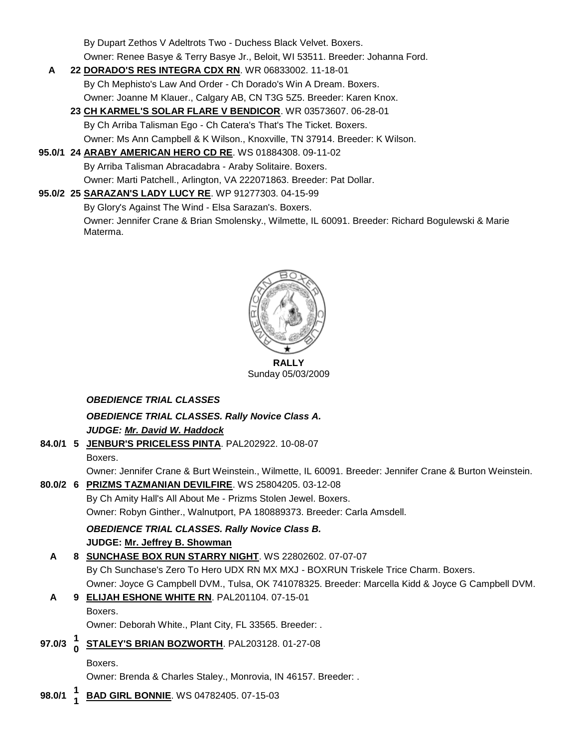By Dupart Zethos V Adeltrots Two - Duchess Black Velvet. Boxers.

Owner: Renee Basye & Terry Basye Jr., Beloit, WI 53511. Breeder: Johanna Ford.

- **A 22 [DORADO'S RES INTEGRA CDX RN](http://canis.infodog.com/files/bdogrsl1.prg;makc=WR_06833002;mdog=Dorado_s_Res_Integra_CDX_RN;wins=all)**. WR 06833002. 11-18-01 By Ch Mephisto's Law And Order - Ch Dorado's Win A Dream. Boxers. Owner: Joanne M Klauer., Calgary AB, CN T3G 5Z5. Breeder: Karen Knox.
	- **23 [CH KARMEL'S SOLAR FLARE V BENDICOR](http://canis.infodog.com/files/bdogrsl1.prg;makc=WR_03573607;mdog=Ch_Karmel_s_Solar_Flare_V_Bendicor;wins=all)**. WR 03573607. 06-28-01 By Ch Arriba Talisman Ego - Ch Catera's That's The Ticket. Boxers. Owner: Ms Ann Campbell & K Wilson., Knoxville, TN 37914. Breeder: K Wilson.
- **95.0/1 24 [ARABY AMERICAN HERO CD RE](http://canis.infodog.com/files/bdogrsl1.prg;makc=WS_01884308;mdog=Araby_American_Hero_CD_RE;wins=all)**. WS 01884308. 09-11-02 By Arriba Talisman Abracadabra - Araby Solitaire. Boxers. Owner: Marti Patchell., Arlington, VA 222071863. Breeder: Pat Dollar.
- **95.0/2 25 [SARAZAN'S LADY LUCY RE](http://canis.infodog.com/files/bdogrsl1.prg;makc=WP_91277303;mdog=Sarazan_s_Lady_Lucy_RE;wins=all)**. WP 91277303. 04-15-99 By Glory's Against The Wind - Elsa Sarazan's. Boxers. Owner: Jennifer Crane & Brian Smolensky., Wilmette, IL 60091. Breeder: Richard Bogulewski & Marie Materma.



Sunday 05/03/2009

### *OBEDIENCE TRIAL CLASSES*

*OBEDIENCE TRIAL CLASSES. Rally Novice Class A. JUDGE: [Mr. David W. Haddock](http://www.infodog.com/judges/18846/juddat.htm)* 

**84.0/1 5 [JENBUR'S PRICELESS PINTA](http://canis.infodog.com/files/bdogrsl1.prg;makc=PAL202922;mdog=JenBur_s_Priceless_Pinta;wins=all)**. PAL202922. 10-08-07 Boxers.

Owner: Jennifer Crane & Burt Weinstein., Wilmette, IL 60091. Breeder: Jennifer Crane & Burton Weinstein. **80.0/2 6 [PRIZMS TAZMANIAN DEVILFIRE](http://canis.infodog.com/files/bdogrsl1.prg;makc=WS_25804205;mdog=Prizms_Tazmanian_DevilFire;wins=all)**. WS 25804205. 03-12-08

By Ch Amity Hall's All About Me - Prizms Stolen Jewel. Boxers. Owner: Robyn Ginther., Walnutport, PA 180889373. Breeder: Carla Amsdell.

### *OBEDIENCE TRIAL CLASSES. Rally Novice Class B.*

**JUDGE: [Mr. Jeffrey B. Showman](http://www.infodog.com/judges/7573/juddat.htm)** 

## **A 8 [SUNCHASE BOX RUN STARRY NIGHT](http://canis.infodog.com/files/bdogrsl1.prg;makc=WS_22802602;mdog=Sunchase_Box_Run_Starry_Night;wins=all)**. WS 22802602. 07-07-07 By Ch Sunchase's Zero To Hero UDX RN MX MXJ - BOXRUN Triskele Trice Charm. Boxers. Owner: Joyce G Campbell DVM., Tulsa, OK 741078325. Breeder: Marcella Kidd & Joyce G Campbell DVM.

- **A 9 [ELIJAH ESHONE WHITE RN](http://canis.infodog.com/files/bdogrsl1.prg;makc=PAL201104;mdog=Elijah_Eshone_White_RN;wins=all)**. PAL201104. 07-15-01 Boxers. Owner: Deborah White., Plant City, FL 33565. Breeder: .
- **97.0/3 <sup>1</sup> 0 [STALEY'S BRIAN BOZWORTH](http://canis.infodog.com/files/bdogrsl1.prg;makc=PAL203128;mdog=Staley_s_Brian_Bozworth;wins=all)**. PAL203128. 01-27-08
	- Boxers.

Owner: Brenda & Charles Staley., Monrovia, IN 46157. Breeder: .

**98.0/1 <sup>1</sup> 1 [BAD GIRL BONNIE](http://canis.infodog.com/files/bdogrsl1.prg;makc=WS_04782405;mdog=Bad_Girl_Bonnie;wins=all)**. WS 04782405. 07-15-03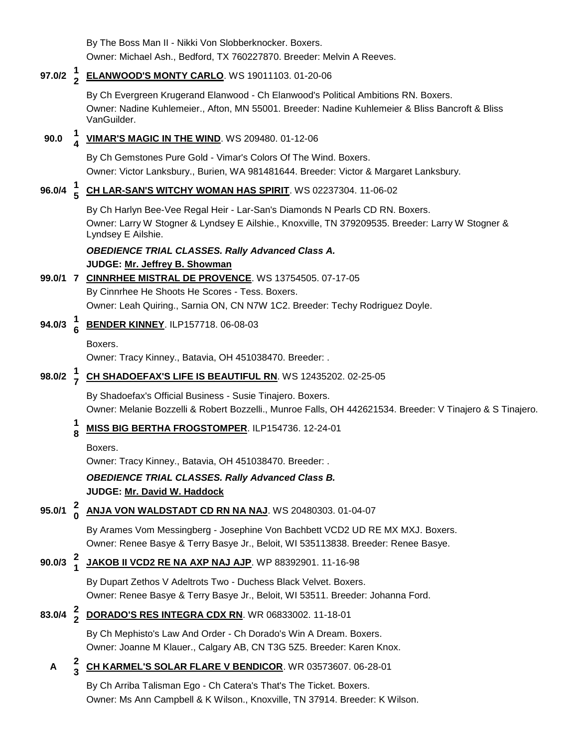By The Boss Man II - Nikki Von Slobberknocker. Boxers. Owner: Michael Ash., Bedford, TX 760227870. Breeder: Melvin A Reeves.

#### **97.0/2 <sup>1</sup> 2 [ELANWOOD'S MONTY CARLO](http://canis.infodog.com/files/bdogrsl1.prg;makc=WS_19011103;mdog=Elanwood_s_Monty_Carlo;wins=all)**. WS 19011103. 01-20-06

By Ch Evergreen Krugerand Elanwood - Ch Elanwood's Political Ambitions RN. Boxers. Owner: Nadine Kuhlemeier., Afton, MN 55001. Breeder: Nadine Kuhlemeier & Bliss Bancroft & Bliss VanGuilder.

#### **90.0 <sup>1</sup> 4 [VIMAR'S MAGIC IN THE WIND](http://canis.infodog.com/files/bdogrsl1.prg;makc=WS_209480;mdog=Vimar_s_Magic_In_The_Wind;wins=all)**. WS 209480. 01-12-06

By Ch Gemstones Pure Gold - Vimar's Colors Of The Wind. Boxers. Owner: Victor Lanksbury., Burien, WA 981481644. Breeder: Victor & Margaret Lanksbury.

#### **96.0/4 <sup>1</sup> 5 [CH LAR-SAN'S WITCHY WOMAN HAS SPIRIT](http://canis.infodog.com/files/bdogrsl1.prg;makc=WS_02237304;mdog=Ch_Lar-San_s_Witchy_Woman_Has_Spirit;wins=all)**. WS 02237304. 11-06-02

By Ch Harlyn Bee-Vee Regal Heir - Lar-San's Diamonds N Pearls CD RN. Boxers. Owner: Larry W Stogner & Lyndsey E Ailshie., Knoxville, TN 379209535. Breeder: Larry W Stogner & Lyndsey E Ailshie.

#### *OBEDIENCE TRIAL CLASSES. Rally Advanced Class A.* **JUDGE: [Mr. Jeffrey B. Showman](http://www.infodog.com/judges/7573/juddat.htm)**

### **99.0/1 7 [CINNRHEE MISTRAL DE PROVENCE](http://canis.infodog.com/files/bdogrsl1.prg;makc=WS_13754505;mdog=Cinnrhee_Mistral_De_Provence;wins=all)**. WS 13754505. 07-17-05 By Cinnrhee He Shoots He Scores - Tess. Boxers. Owner: Leah Quiring., Sarnia ON, CN N7W 1C2. Breeder: Techy Rodriguez Doyle.

#### **94.0/3 <sup>1</sup> 6 [BENDER KINNEY](http://canis.infodog.com/files/bdogrsl1.prg;makc=ILP157718;mdog=Bender_Kinney;wins=all)**. ILP157718. 06-08-03

Boxers.

Owner: Tracy Kinney., Batavia, OH 451038470. Breeder: .

#### **98.0/2 <sup>1</sup> 7 [CH SHADOEFAX'S LIFE IS BEAUTIFUL RN](http://canis.infodog.com/files/bdogrsl1.prg;makc=WS_12435202;mdog=Ch_Shadoefax_s_Life_Is_Beautiful_RN;wins=all)**. WS 12435202. 02-25-05

By Shadoefax's Official Business - Susie Tinajero. Boxers. Owner: Melanie Bozzelli & Robert Bozzelli., Munroe Falls, OH 442621534. Breeder: V Tinajero & S Tinajero.

#### **1 8 [MISS BIG BERTHA FROGSTOMPER](http://canis.infodog.com/files/bdogrsl1.prg;makc=ILP154736;mdog=Miss_Big_Bertha_Frogstomper;wins=all)**. ILP154736. 12-24-01

Boxers.

Owner: Tracy Kinney., Batavia, OH 451038470. Breeder: .

### *OBEDIENCE TRIAL CLASSES. Rally Advanced Class B.* **JUDGE: [Mr. David W. Haddock](http://www.infodog.com/judges/18846/juddat.htm)**

#### **95.0/1 <sup>2</sup> 0 [ANJA VON WALDSTADT CD RN NA NAJ](http://canis.infodog.com/files/bdogrsl1.prg;makc=WS_20480303;mdog=Anja_Von_Waldstadt_CD_RN_NA_NAJ;wins=all)**. WS 20480303. 01-04-07

By Arames Vom Messingberg - Josephine Von Bachbett VCD2 UD RE MX MXJ. Boxers. Owner: Renee Basye & Terry Basye Jr., Beloit, WI 535113838. Breeder: Renee Basye.

#### **90.0/3 <sup>2</sup> 1 [JAKOB II VCD2 RE NA AXP NAJ AJP](http://canis.infodog.com/files/bdogrsl1.prg;makc=WP_88392901;mdog=Jakob_II_VCD2_RE_NA_AXP_NAJ_AJP;wins=all)**. WP 88392901. 11-16-98

By Dupart Zethos V Adeltrots Two - Duchess Black Velvet. Boxers. Owner: Renee Basye & Terry Basye Jr., Beloit, WI 53511. Breeder: Johanna Ford.

#### **83.0/4 <sup>2</sup> 2 [DORADO'S RES INTEGRA CDX RN](http://canis.infodog.com/files/bdogrsl1.prg;makc=WR_06833002;mdog=Dorado_s_Res_Integra_CDX_RN;wins=all)**. WR 06833002. 11-18-01

By Ch Mephisto's Law And Order - Ch Dorado's Win A Dream. Boxers. Owner: Joanne M Klauer., Calgary AB, CN T3G 5Z5. Breeder: Karen Knox.

#### **A 2 3 [CH KARMEL'S SOLAR FLARE V BENDICOR](http://canis.infodog.com/files/bdogrsl1.prg;makc=WR_03573607;mdog=Ch_Karmel_s_Solar_Flare_V_Bendicor;wins=all)**. WR 03573607. 06-28-01

By Ch Arriba Talisman Ego - Ch Catera's That's The Ticket. Boxers. Owner: Ms Ann Campbell & K Wilson., Knoxville, TN 37914. Breeder: K Wilson.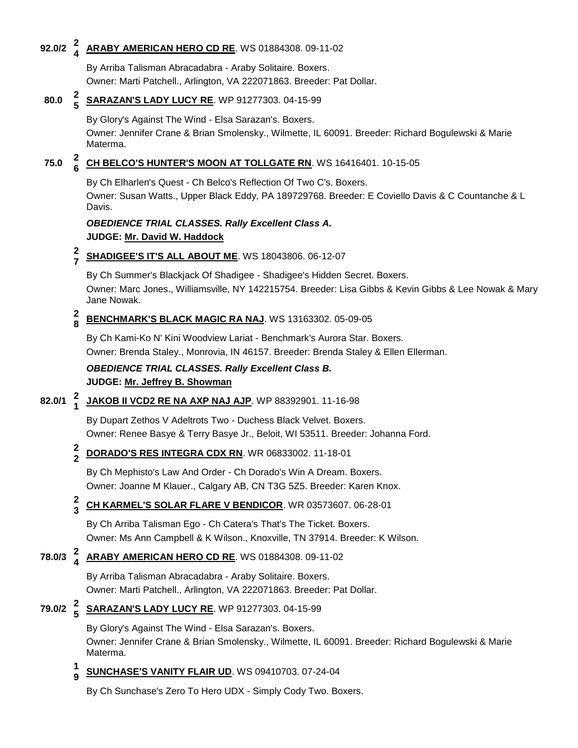#### **92.0/2 <sup>2</sup> 4 [ARABY AMERICAN HERO CD RE](http://canis.infodog.com/files/bdogrsl1.prg;makc=WS_01884308;mdog=Araby_American_Hero_CD_RE;wins=all)**. WS 01884308. 09-11-02

By Arriba Talisman Abracadabra - Araby Solitaire. Boxers. Owner: Marti Patchell., Arlington, VA 222071863. Breeder: Pat Dollar.

#### **80.0 <sup>2</sup> 5 [SARAZAN'S LADY LUCY RE](http://canis.infodog.com/files/bdogrsl1.prg;makc=WP_91277303;mdog=Sarazan_s_Lady_Lucy_RE;wins=all)**. WP 91277303. 04-15-99

By Glory's Against The Wind - Elsa Sarazan's. Boxers.

Owner: Jennifer Crane & Brian Smolensky., Wilmette, IL 60091. Breeder: Richard Bogulewski & Marie Materma.

#### **75.0 <sup>2</sup> 6 [CH BELCO'S HUNTER'S MOON AT TOLLGATE RN](http://canis.infodog.com/files/bdogrsl1.prg;makc=WS_16416401;mdog=Ch_Belco_s_Hunter_s_Moon_At_Tollgate_RN;wins=all)**. WS 16416401. 10-15-05

By Ch Elharlen's Quest - Ch Belco's Reflection Of Two C's. Boxers. Owner: Susan Watts., Upper Black Eddy, PA 189729768. Breeder: E Coviello Davis & C Countanche & L Davis.

### *OBEDIENCE TRIAL CLASSES. Rally Excellent Class A.* **JUDGE: [Mr. David W. Haddock](http://www.infodog.com/judges/18846/juddat.htm)**

#### **2 7 [SHADIGEE'S IT'S ALL ABOUT ME](http://canis.infodog.com/files/bdogrsl1.prg;makc=WS_18043806;mdog=Shadigee_s_It_s_All_About_Me;wins=all)**. WS 18043806. 06-12-07

By Ch Summer's Blackjack Of Shadigee - Shadigee's Hidden Secret. Boxers. Owner: Marc Jones., Williamsville, NY 142215754. Breeder: Lisa Gibbs & Kevin Gibbs & Lee Nowak & Mary Jane Nowak.

#### **2 8 [BENCHMARK'S BLACK MAGIC RA NAJ](http://canis.infodog.com/files/bdogrsl1.prg;makc=WS_13163302;mdog=Benchmark_s_Black_Magic_RA_NAJ;wins=all)**. WS 13163302. 05-09-05

By Ch Kami-Ko N' Kini Woodview Lariat - Benchmark's Aurora Star. Boxers. Owner: Brenda Staley., Monrovia, IN 46157. Breeder: Brenda Staley & Ellen Ellerman.

### *OBEDIENCE TRIAL CLASSES. Rally Excellent Class B.* **JUDGE: [Mr. Jeffrey B. Showman](http://www.infodog.com/judges/7573/juddat.htm)**

#### **82.0/1 <sup>2</sup> 1 [JAKOB II VCD2 RE NA AXP NAJ AJP](http://canis.infodog.com/files/bdogrsl1.prg;makc=WP_88392901;mdog=Jakob_II_VCD2_RE_NA_AXP_NAJ_AJP;wins=all)**. WP 88392901. 11-16-98

By Dupart Zethos V Adeltrots Two - Duchess Black Velvet. Boxers. Owner: Renee Basye & Terry Basye Jr., Beloit, WI 53511. Breeder: Johanna Ford.

#### **2 2 [DORADO'S RES INTEGRA CDX RN](http://canis.infodog.com/files/bdogrsl1.prg;makc=WR_06833002;mdog=Dorado_s_Res_Integra_CDX_RN;wins=all)**. WR 06833002. 11-18-01

By Ch Mephisto's Law And Order - Ch Dorado's Win A Dream. Boxers. Owner: Joanne M Klauer., Calgary AB, CN T3G 5Z5. Breeder: Karen Knox.

#### **2 3 [CH KARMEL'S SOLAR FLARE V BENDICOR](http://canis.infodog.com/files/bdogrsl1.prg;makc=WR_03573607;mdog=Ch_Karmel_s_Solar_Flare_V_Bendicor;wins=all)**. WR 03573607. 06-28-01

By Ch Arriba Talisman Ego - Ch Catera's That's The Ticket. Boxers. Owner: Ms Ann Campbell & K Wilson., Knoxville, TN 37914. Breeder: K Wilson.

#### **78.0/3 <sup>2</sup> 4 [ARABY AMERICAN HERO CD RE](http://canis.infodog.com/files/bdogrsl1.prg;makc=WS_01884308;mdog=Araby_American_Hero_CD_RE;wins=all)**. WS 01884308. 09-11-02

By Arriba Talisman Abracadabra - Araby Solitaire. Boxers. Owner: Marti Patchell., Arlington, VA 222071863. Breeder: Pat Dollar.

# **79.0/2 <sup>2</sup> 5 [SARAZAN'S LADY LUCY RE](http://canis.infodog.com/files/bdogrsl1.prg;makc=WP_91277303;mdog=Sarazan_s_Lady_Lucy_RE;wins=all)**. WP 91277303. 04-15-99

By Glory's Against The Wind - Elsa Sarazan's. Boxers.

Owner: Jennifer Crane & Brian Smolensky., Wilmette, IL 60091. Breeder: Richard Bogulewski & Marie Materma.

#### **1 9 [SUNCHASE'S VANITY FLAIR UD](http://canis.infodog.com/files/bdogrsl1.prg;makc=WS_09410703;mdog=Sunchase_s_Vanity_Flair_UD;wins=all)**. WS 09410703. 07-24-04

By Ch Sunchase's Zero To Hero UDX - Simply Cody Two. Boxers.